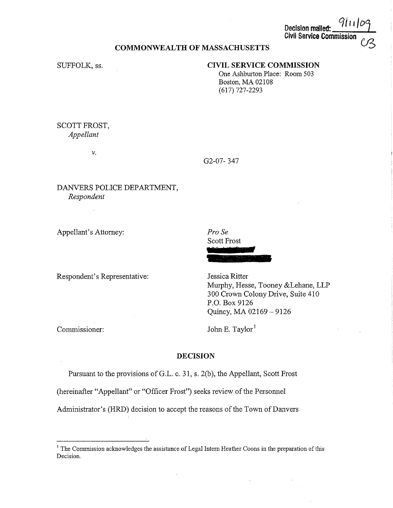$Decls$  **Ion malled: Civil Service Commission** 

# **COMMONWEALTH OF MASSACHUSETTS**

SUFFOLK, ss.

# **CIVIL SERVICE COMMISSION**

One Ashburton Place: Room 503 Boston, MA 02108 (617) 727-2293

## SCOTT FROST, *Appellant*

V.

G2-07- 347

*Pro Se*  Scott Frost

### DANVERS POLICE DEPARTMENT, *Respondent*

Appellant's Attorney:

Respondent's Representative:

Jessica Ritter Murphy, Hesse, Tooney &Lehane, LLP 300 Crown Colony Drive, Suite 410 P.O. Box 9126 Quincy, MA 02169-9126

Commissioner:

John E. Taylor<sup>1</sup>

### **DECISION**

Pursuant to the provisions of G.L. c. 31, s. 2(b), the Appellant, Scott Frost

(hereinafter "Appellant" or "Officer Frost") seeks review of the Personnel

Administrator's (HRD) decision to accept the reasons of the Town of Danvers

<sup>&</sup>lt;sup>1</sup> The Commission acknowledges the assistance of Legal Intern Heather Coons in the preparation of this **Decision.**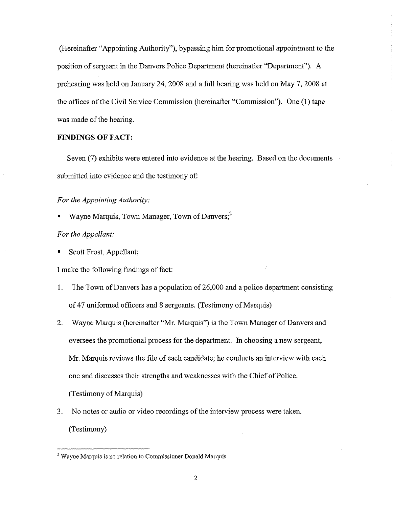(Hereinafter "Appointing Authority"), bypassing him for promotional appointment to the position of sergeant in the Danvers Police Department (hereinafter "Department"). A prehearing was held on January 24, 2008 and a full hearing was held on May 7, 2008 at the offices of the Civil Service Commission (hereinafter "Commission"). One (I) tape was made of the hearing.

#### **FINDINGS OF FACT:**

Seven (7) exhibits were entered into evidence at the hearing. Based on the documents submitted into evidence and the testimony of:

## *For the Appointing Authority:*

Wayne Marquis, Town Manager, Town of Danvers;<sup>2</sup>

### *For the Appellant:*

Scott Frost, Appellant;

I make the following findings of fact:

- 1. The Town of Danvers has a population of 26,000 and a police department consisting of 47 uniformed officers and 8 sergeants. (Testimony of Marquis)
- 2. Wayne Marquis (hereinafter "Mr. Marquis") is the Town Manager of Danvers and oversees the promotional process for the department. In choosing a new sergeant, Mr. Marquis reviews the file of each candidate; he conducts an interview with each one and discusses their strengths and weaknesses with the Chief of Police. (Testimony of Marquis)
- 3. No notes or audio or video recordings of the interview process were taken. (Testimony)

<sup>&</sup>lt;sup>2</sup> Wayne Marquis is no relation to Commissioner Donald Marquis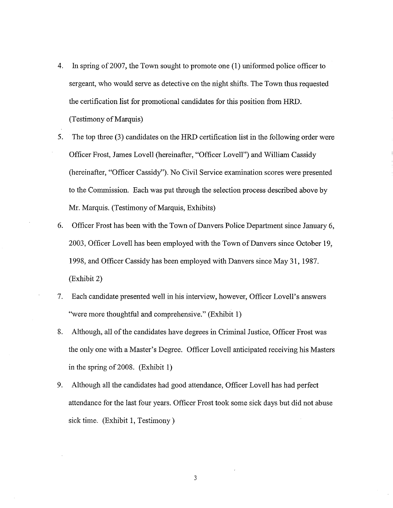- 4. In spring of 2007, the Town sought to promote one (1) uniformed police officer to sergeant, who would serve as detective on the night shifts. The Town thus requested the certification list for promotional candidates for this position from HRD. (Testimony of Marquis)
- 5. The top three (3) candidates on the HRD certification list in the following order were Officer Frost, James Lovell (hereinafter, "Officer Lovell") and William Cassidy (hereinafter, "Officer Cassidy"). No Civil Service examination scores were presented to the Commission. Each was put through the selection process described above by Mr. Marquis. (Testimony of Marquis, Exhibits)
- 6. Officer Frost has been with the Town of Danvers Police Department since January 6, 2003, Officer Lovell has been employed with the Town of Danvers since October 19, 1998, and Officer Cassidy has been employed with Danvers since May 31, 1987. (Exhibit 2)
- 7. Each candidate presented well in his interview, however, Officer Lovell's answers "were more thoughtful and comprehensive." (Exhibit 1)
- 8. Although, all of the candidates have degrees in Criminal Justice, Officer Frost was the only one with a Master's Degree. Officer Lovell anticipated receiving his Masters in the spring of 2008. (Exhibit 1)
- 9. Although all the candidates had good attendance, Officer Lovell has had perfect attendance for the last four years. Officer Frost took some sick days but did not abuse sick time. (Exhibit 1, Testimony)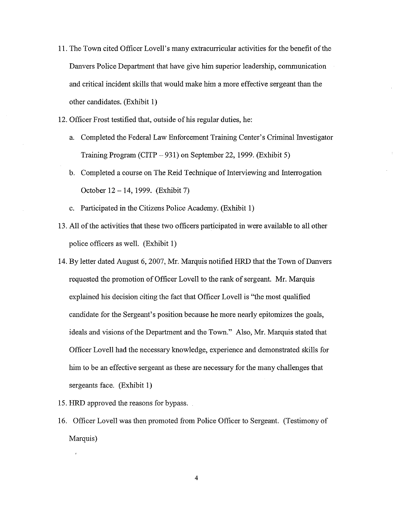- 11. The Town cited Officer Lovell's many extracurricular activities for the benefit of the Danvers Police Department that have give him superior leadership, communication and critical incident skills that would make him a more effective sergeant than the other candidates. (Exhibit 1)
- 12. Officer Frost testified that, outside of his regular duties, he:
	- a. Completed the Federal Law Enforcement Training Center's Criminal Investigator Training Program (CITP - 931) on September 22, 1999. (Exhibit 5)
	- b. Completed a course on The Reid Technique of Interviewing and Interrogation October 12- **14,** 1999. (Exhibit 7)
	- c. Participated in the Citizens Police Academy. (Exhibit **1)**
- 13. All of the activities that these two officers participated in were available to all other police officers as well. (Exhibit 1)
- 14. By letter dated August 6, 2007, Mr. Marquis notified HRD that the Town of Danvers requested the promotion of Officer Lovell to the rank of sergeant. Mr. Marquis explained his decision citing the fact that Officer Lovell is "the most qualified candidate for the Sergeant's position because he more nearly epitomizes the goals, ideals and visions of the Department and the Town." Also, Mr. Marquis stated that Officer Lovell had the necessary knowledge, experience and demonstrated skills for him to be an effective sergeant as these are necessary for the many challenges that sergeants face. (Exhibit I)
- 15. HRD approved the reasons for bypass.
- 16. Officer Lovell was then promoted from Police Officer to Sergeant. (Testimony of Marquis)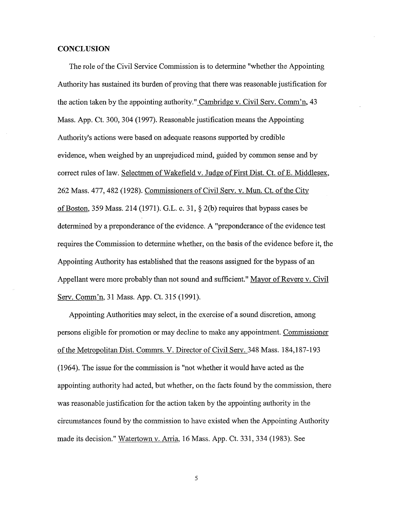#### **CONCLUSION**

The role of the Civil Service Commission is to determine "whether the Appointing Authority has sustained its burden of proving that there was reasonable justification for the action taken by the appointing authority." Cambridge v. Civil Serv. Comm'n, 43 Mass. App. Ct. 300, 304 (1997). Reasonable justification means the Appointing Authority's actions were based on adequate reasons supported by credible evidence, when weighed by an unprejudiced mind, guided by common sense and by correct rules of law. Selectmen of Wakefield v. Judge of First Dist. Ct. of E. Middlesex, 262 Mass. 477,482 (1928). Commissioners of Civil Serv. v. Mun. Ct. of the City of Boston, 359 Mass. 214 (1971). G.L. c. 31, § 2(b) requires that bypass cases be determined by a preponderance of the evidence. A "preponderance of the evidence test requires the Commission to determine whether, on the basis of the evidence before it, the Appointing Authority has established that the reasons assigned for the bypass of an Appellant were more probably than not sound and sufficient." Mayor of Revere v. Civil Serv. Comm'n, 31 Mass. App. Ct. 315 (1991).

Appointing Authorities may select, in the exercise of a sound discretion, among persons eligible for promotion or may decline to make any appointment. Commissioner of the Metropolitan Dist. Commrs. V. Director of Civil Serv. 348 Mass. 184,187-193 (1964). The issue for the commission is "not whether it would have acted as the appointing authority had acted, but whether, on the facts found by the commission, there was reasonable justification for the action taken by the appointing authority in the circumstances found by the commission to have existed when the Appointing Authority made its decision." Watertown v. Arria, 16 Mass. App. Ct. 331,334 (1983). See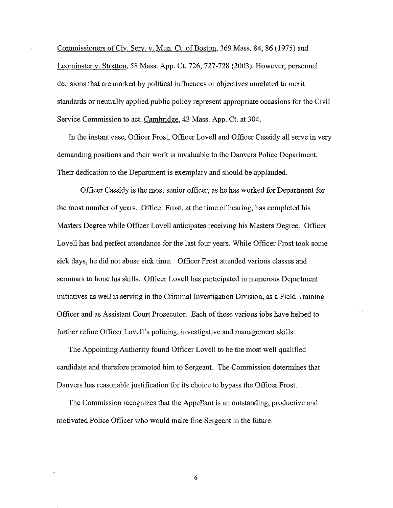Commissioners of Civ. Serv. v. Mun. Ct. of Boston, 369 Mass. 84, 86 (1975) and Leominster v. Stratton, 58 Mass. App. Ct. 726, 727-728 (2003). However, personnel decisions that are marked by political influences or objectives unrelated to merit standards or neutrally applied public policy represent appropriate occasions for the Civil Service Commission to act. Cambridge, 43 Mass. App. Ct. at 304.

In the instant case, Officer Frost, Officer Lovell and Officer Cassidy all serve in very demanding positions and their work is invaluable to the Danvers Police Department. Their dedication to the Department is exemplary and should be applauded.

Officer Cassidy is the most senior officer, as he has worked for Department for the most number of years. Officer Frost, at the time of hearing, has completed his Masters Degree while Officer Lovell anticipates receiving his Masters Degree. Officer Lovell has had perfect attendance for the last four years. While Officer Frost took some sick days, he did not abuse sick time. Officer Frost attended various classes and seminars to hone his skills. Officer Lovell has participated in numerous Department initiatives as well is serving in the Criminal Investigation Division, as a Field Training Officer and as Assistant Court Prosecutor. Each of these various jobs have helped to further refine Officer Lovell's policing, investigative and management skills.

The Appointing Authority found Officer Lovell to be the most well qualified candidate and therefore promoted him to Sergeant. The Commission determines that Danvers has reasonable justification for its choice to bypass the Officer Frost.

The Commission recognizes that the Appellant is an outstanding, productive and motivated Police Officer who would make fine Sergeant in the future.